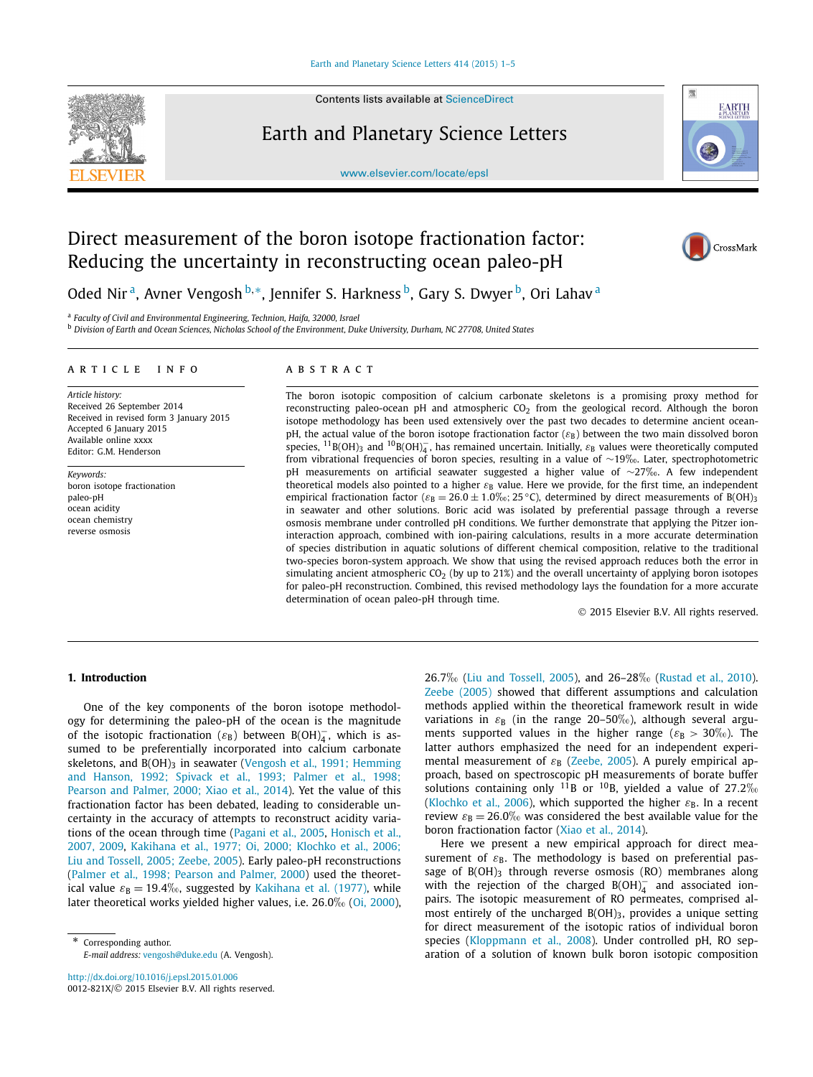

Contents lists available at [ScienceDirect](http://www.ScienceDirect.com/)

## Earth and Planetary Science Letters





# Direct measurement of the boron isotope fractionation factor: Reducing the uncertainty in reconstructing ocean paleo-pH



Oded Nir<sup>a</sup>, Avner Vengosh<sup>b,∗</sup>, Jennifer S. Harkness<sup>b</sup>, Gary S. Dwyer<sup>b</sup>, Ori Lahav<sup>a</sup>

<sup>a</sup> *Faculty of Civil and Environmental Engineering, Technion, Haifa, 32000, Israel*

<sup>b</sup> Division of Earth and Ocean Sciences, Nicholas School of the Environment, Duke University, Durham, NC 27708, United States

#### A R T I C L E I N F O A B S T R A C T

*Article history:* Received 26 September 2014 Received in revised form 3 January 2015 Accepted 6 January 2015 Available online xxxx Editor: G.M. Henderson

*Keywords:* boron isotope fractionation paleo-pH ocean acidity ocean chemistry reverse osmosis

The boron isotopic composition of calcium carbonate skeletons is a promising proxy method for reconstructing paleo-ocean pH and atmospheric  $CO<sub>2</sub>$  from the geological record. Although the boron isotope methodology has been used extensively over the past two decades to determine ancient oceanpH, the actual value of the boron isotope fractionation factor (*ε*<sub>B</sub>) between the two main dissolved boron species,  $^{11}$ B(OH)<sub>3</sub> and  $^{10}$ B(OH)<sub>4</sub>, has remained uncertain. Initially,  $\varepsilon_{\rm B}$  values were theoretically computed from vibrational frequencies of boron species, resulting in <sup>a</sup> value of ∼19❤. Later, spectrophotometric pH measurements on artificial seawater suggested <sup>a</sup> higher value of ∼27❤. <sup>A</sup> few independent theoretical models also pointed to a higher *ε*<sub>B</sub> value. Here we provide, for the first time, an independent empirical fractionation factor ( $\varepsilon_B = 26.0 \pm 1.0\%$ ; 25 °C), determined by direct measurements of B(OH)<sub>3</sub> in seawater and other solutions. Boric acid was isolated by preferential passage through a reverse osmosis membrane under controlled pH conditions. We further demonstrate that applying the Pitzer ioninteraction approach, combined with ion-pairing calculations, results in a more accurate determination of species distribution in aquatic solutions of different chemical composition, relative to the traditional two-species boron-system approach. We show that using the revised approach reduces both the error in simulating ancient atmospheric  $CO<sub>2</sub>$  (by up to 21%) and the overall uncertainty of applying boron isotopes for paleo-pH reconstruction. Combined, this revised methodology lays the foundation for a more accurate determination of ocean paleo-pH through time.

© 2015 Elsevier B.V. All rights reserved.

### **1. Introduction**

One of the key components of the boron isotope methodology for determining the paleo-pH of the ocean is the magnitude of the isotopic fractionation ( $\varepsilon_B$ ) between B(OH)<sub>4</sub>, which is assumed to be preferentially incorporated into calcium carbonate skeletons, and B(OH)<sub>3</sub> in seawater (Vengosh et al., [1991; Hemming](#page-4-0) and Hanson, [1992; Spivack](#page-4-0) et al., 1993; Palmer et al., 1998; Pearson and Palmer, [2000; Xiao](#page-4-0) et al., 2014). Yet the value of this fractionation factor has been debated, leading to considerable uncertainty in the accuracy of attempts to reconstruct acidity variations of the ocean through time [\(Pagani](#page-4-0) et al., 2005, [Honisch](#page-3-0) et al., [2007,](#page-3-0) 2009, Kakihana et al., 1977; Oi, [2000; Klochko](#page-3-0) et al., 2006; Liu and Tossell, [2005; Zeebe,](#page-3-0) 2005). Early paleo-pH reconstructions (Palmer et al., [1998; Pearson](#page-4-0) and Palmer, 2000) used the theoretical value  $\varepsilon_B = 19.4\%$ <sub>0</sub>, suggested by Kakihana et [al. \(1977\),](#page-3-0) while later theoretical works yielded higher values, i.e. 26.0<sup>% (Oi</sup>, 2000),

Corresponding author. *E-mail address:* [vengosh@duke.edu](mailto:vengosh@duke.edu) (A. Vengosh). <sup>26</sup>*.*7❤ (Liu and [Tossell,](#page-3-0) 2005), and 26–28❤ [\(Rustad et al., 2010\)](#page-4-0). [Zeebe \(2005\)](#page-4-0) showed that different assumptions and calculation methods applied within the theoretical framework result in wide variations in  $ε_B$  (in the range 20-50<sup>%</sup><sub>0</sub>), although several arguments supported values in the higher range ( $\varepsilon_{\rm B} > 30\%$ ). The latter authors emphasized the need for an independent experimental measurement of  $ε$ <sub>B</sub> [\(Zeebe,](#page-4-0) 2005). A purely empirical approach, based on spectroscopic pH measurements of borate buffer solutions containing only <sup>11</sup>B or <sup>10</sup>B, yielded a value of 27.2\% [\(Klochko](#page-3-0) et al., 2006), which supported the higher  $\varepsilon_{\rm B}$ . In a recent review  $\varepsilon_{\rm B} = 26.0\%$  was considered the best available value for the boron fractionation factor (Xiao et al., [2014\)](#page-4-0).

Here we present a new empirical approach for direct measurement of  $\varepsilon_{\text{B}}$ . The methodology is based on preferential passage of  $B(OH)$ <sub>3</sub> through reverse osmosis (RO) membranes along with the rejection of the charged  $B(OH)_4^-$  and associated ionpairs. The isotopic measurement of RO permeates, comprised almost entirely of the uncharged  $B(OH)_3$ , provides a unique setting for direct measurement of the isotopic ratios of individual boron species [\(Kloppmann](#page-3-0) et al., 2008). Under controlled pH, RO separation of a solution of known bulk boron isotopic composition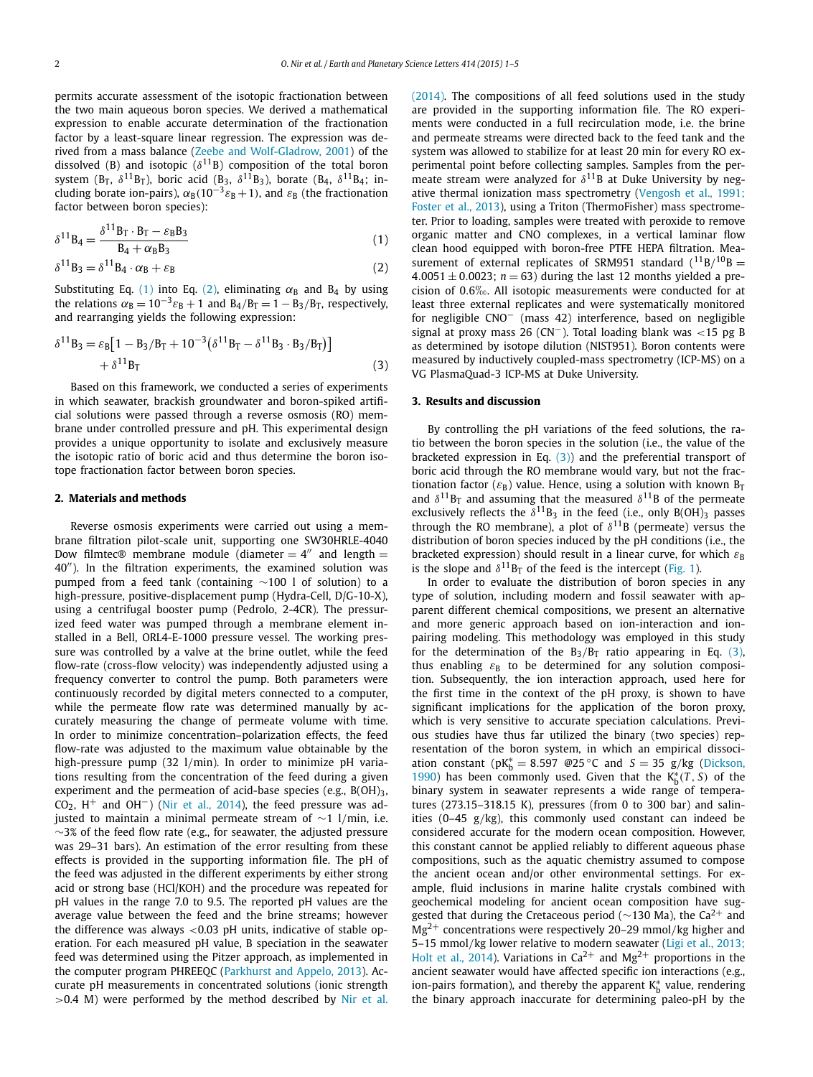<span id="page-1-0"></span>permits accurate assessment of the isotopic fractionation between the two main aqueous boron species. We derived a mathematical expression to enable accurate determination of the fractionation factor by a least-square linear regression. The expression was derived from a mass balance (Zeebe and [Wolf-Gladrow,](#page-4-0) 2001) of the dissolved (B) and isotopic ( $\delta^{11}$ B) composition of the total boron system (B<sub>T</sub>,  $\delta^{11}$ B<sub>T</sub>), boric acid (B<sub>3</sub>,  $\delta^{11}$ B<sub>3</sub>), borate (B<sub>4</sub>,  $\delta^{11}$ B<sub>4</sub>; including borate ion-pairs),  $\alpha_B(10^{-3}\varepsilon_B + 1)$ , and  $\varepsilon_B$  (the fractionation factor between boron species):

$$
\delta^{11} \mathbf{B}_4 = \frac{\delta^{11} \mathbf{B}_\mathrm{T} \cdot \mathbf{B}_\mathrm{T} - \varepsilon_\mathrm{B} \mathbf{B}_3}{\mathbf{B}_4 + \alpha_\mathrm{B} \mathbf{B}_3} \tag{1}
$$

 $\delta^{11}B_3 = \delta^{11}B_4 \cdot \alpha_B + \varepsilon_B$  (2)

Substituting Eq. (1) into Eq. (2), eliminating  $\alpha_B$  and B<sub>4</sub> by using the relations  $\alpha_B = 10^{-3} \varepsilon_B + 1$  and  $B_4/B_T = 1 - B_3/B_T$ , respectively, and rearranging yields the following expression:

$$
\delta^{11}B_3 = \varepsilon_B [1 - B_3/B_T + 10^{-3} (\delta^{11}B_T - \delta^{11}B_3 \cdot B_3/B_T)] + \delta^{11}B_T
$$
 (3)

Based on this framework, we conducted a series of experiments in which seawater, brackish groundwater and boron-spiked artificial solutions were passed through a reverse osmosis (RO) membrane under controlled pressure and pH. This experimental design provides a unique opportunity to isolate and exclusively measure the isotopic ratio of boric acid and thus determine the boron isotope fractionation factor between boron species.

#### **2. Materials and methods**

Reverse osmosis experiments were carried out using a membrane filtration pilot-scale unit, supporting one SW30HRLE-4040 Dow filmtec® membrane module (diameter  $= 4$ <sup>"</sup> and length  $=$ 40"). In the filtration experiments, the examined solution was pumped from a feed tank (containing ∼100 l of solution) to a high-pressure, positive-displacement pump (Hydra-Cell, D/G-10-X), using a centrifugal booster pump (Pedrolo, 2-4CR). The pressurized feed water was pumped through a membrane element installed in a Bell, ORL4-E-1000 pressure vessel. The working pressure was controlled by a valve at the brine outlet, while the feed flow-rate (cross-flow velocity) was independently adjusted using a frequency converter to control the pump. Both parameters were continuously recorded by digital meters connected to a computer, while the permeate flow rate was determined manually by accurately measuring the change of permeate volume with time. In order to minimize concentration–polarization effects, the feed flow-rate was adjusted to the maximum value obtainable by the high-pressure pump (32 l*/*min). In order to minimize pH variations resulting from the concentration of the feed during a given experiment and the permeation of acid-base species (e.g.,  $B(OH)_3$ ,  $CO<sub>2</sub>$ , H<sup>+</sup> and OH<sup>-</sup>) (Nir et al., [2014\)](#page-3-0), the feed pressure was adjusted to maintain a minimal permeate stream of ∼1 l*/*min, i.e.  $~\sim$ 3% of the feed flow rate (e.g., for seawater, the adjusted pressure was 29–31 bars). An estimation of the error resulting from these effects is provided in the supporting information file. The pH of the feed was adjusted in the different experiments by either strong acid or strong base (HCl/KOH) and the procedure was repeated for pH values in the range 7.0 to 9.5. The reported pH values are the average value between the feed and the brine streams; however the difference was always *<*0.03 pH units, indicative of stable operation. For each measured pH value, B speciation in the seawater feed was determined using the Pitzer approach, as implemented in the computer program PHREEQC [\(Parkhurst](#page-4-0) and Appelo, 2013). Accurate pH measurements in concentrated solutions (ionic strength *>*0.4 M) were performed by the method described by [Nir](#page-3-0) et al.

[\(2014\).](#page-3-0) The compositions of all feed solutions used in the study are provided in the supporting information file. The RO experiments were conducted in a full recirculation mode, i.e. the brine and permeate streams were directed back to the feed tank and the system was allowed to stabilize for at least 20 min for every RO experimental point before collecting samples. Samples from the permeate stream were analyzed for  $\delta^{11}$ B at Duke University by negative thermal ionization mass spectrometry [\(Vengosh](#page-4-0) et al., 1991; [Foster](#page-4-0) et al., 2013), using a Triton (ThermoFisher) mass spectrometer. Prior to loading, samples were treated with peroxide to remove organic matter and CNO complexes, in a vertical laminar flow clean hood equipped with boron-free PTFE HEPA filtration. Measurement of external replicates of SRM951 standard  $(^{11}B/^{10}B =$  $4.0051 \pm 0.0023$ ;  $n = 63$ ) during the last 12 months yielded a precision of <sup>0</sup>*.*6❤. All isotopic measurements were conducted for at least three external replicates and were systematically monitored for negligible CNO− (mass 42) interference, based on negligible signal at proxy mass 26 (CN−). Total loading blank was *<*15 pg B as determined by isotope dilution (NIST951). Boron contents were measured by inductively coupled-mass spectrometry (ICP-MS) on a VG PlasmaQuad-3 ICP-MS at Duke University.

#### **3. Results and discussion**

By controlling the pH variations of the feed solutions, the ratio between the boron species in the solution (i.e., the value of the bracketed expression in Eq.  $(3)$ ) and the preferential transport of boric acid through the RO membrane would vary, but not the fractionation factor ( $\varepsilon_B$ ) value. Hence, using a solution with known  $B_T$ and  $\delta^{11}$ B<sub>T</sub> and assuming that the measured  $\delta^{11}$ B of the permeate exclusively reflects the  $\delta^{11}B_3$  in the feed (i.e., only B(OH)<sub>3</sub> passes through the RO membrane), a plot of  $\delta^{11}$ B (permeate) versus the distribution of boron species induced by the pH conditions (i.e., the bracketed expression) should result in a linear curve, for which *ε*<sub>B</sub> is the slope and  $\delta^{11}B_T$  of the feed is the intercept [\(Fig. 1\)](#page-2-0).

In order to evaluate the distribution of boron species in any type of solution, including modern and fossil seawater with apparent different chemical compositions, we present an alternative and more generic approach based on ion-interaction and ionpairing modeling. This methodology was employed in this study for the determination of the  $B_3/B_T$  ratio appearing in Eq. (3), thus enabling  $\varepsilon_B$  to be determined for any solution composition. Subsequently, the ion interaction approach, used here for the first time in the context of the pH proxy, is shown to have significant implications for the application of the boron proxy, which is very sensitive to accurate speciation calculations. Previous studies have thus far utilized the binary (two species) representation of the boron system, in which an empirical dissociation constant ( $pK_b^* = 8.597$  @25 °C and  $S = 35$  g/kg [\(Dickson,](#page-3-0) [1990\)](#page-3-0) has been commonly used. Given that the  $K_b^*(T, S)$  of the binary system in seawater represents a wide range of temperatures (273.15–318.15 K), pressures (from 0 to 300 bar) and salinities (0–45 g*/*kg), this commonly used constant can indeed be considered accurate for the modern ocean composition. However, this constant cannot be applied reliably to different aqueous phase compositions, such as the aquatic chemistry assumed to compose the ancient ocean and/or other environmental settings. For example, fluid inclusions in marine halite crystals combined with geochemical modeling for ancient ocean composition have suggested that during the Cretaceous period ( $\sim$ 130 Ma), the Ca<sup>2+</sup> and Mg2<sup>+</sup> concentrations were respectively 20–29 mmol*/*kg higher and 5–15 mmol*/*kg lower relative to modern seawater (Ligi et al., [2013;](#page-3-0) Holt et al., [2014\)](#page-3-0). Variations in  $Ca^{2+}$  and  $Mg^{2+}$  proportions in the ancient seawater would have affected specific ion interactions (e.g., ion-pairs formation), and thereby the apparent K<sup>\*</sup><sub>b</sub> value, rendering the binary approach inaccurate for determining paleo-pH by the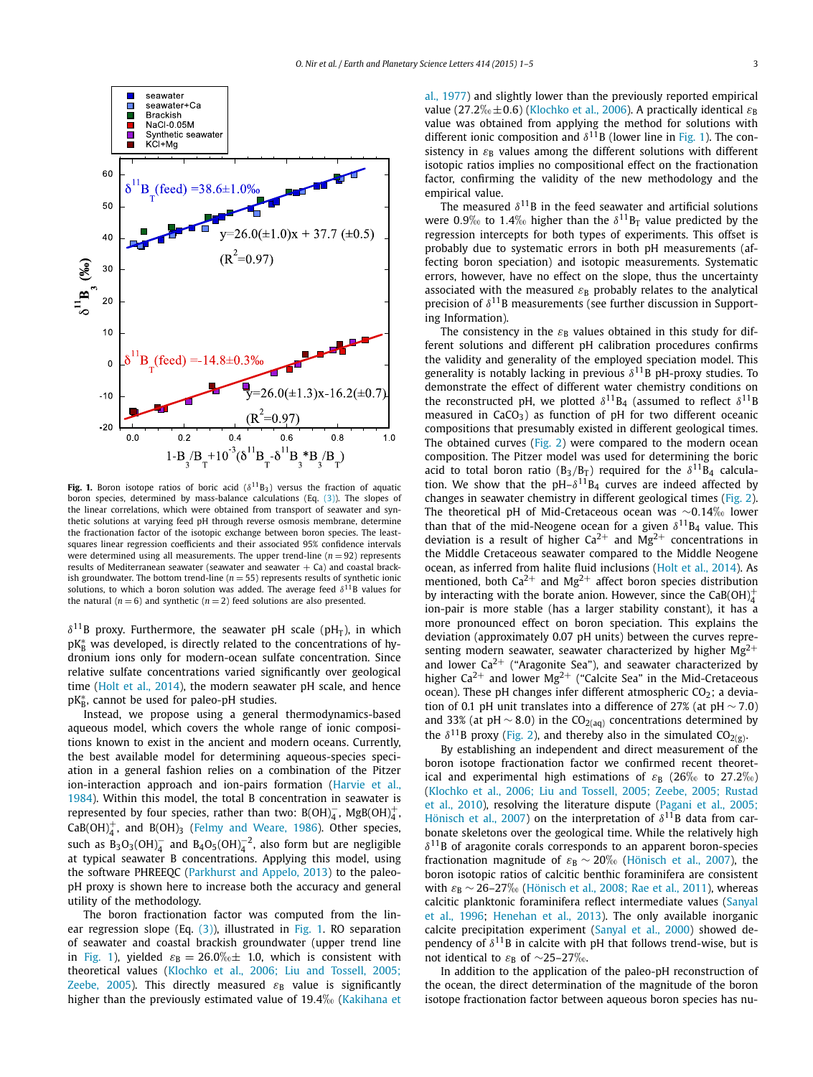<span id="page-2-0"></span>

**Fig. 1.** Boron isotope ratios of boric acid  $(\delta^{11}B_3)$  versus the fraction of aquatic boron species, determined by mass-balance calculations (Eq. [\(3\)\)](#page-1-0). The slopes of the linear correlations, which were obtained from transport of seawater and synthetic solutions at varying feed pH through reverse osmosis membrane, determine the fractionation factor of the isotopic exchange between boron species. The leastsquares linear regression coefficients and their associated 95% confidence intervals were determined using all measurements. The upper trend-line  $(n = 92)$  represents results of Mediterranean seawater (seawater and seawater  $+$  Ca) and coastal brackish groundwater. The bottom trend-line  $(n = 55)$  represents results of synthetic ionic solutions, to which a boron solution was added. The average feed  $\delta^{11}$ B values for the natural  $(n = 6)$  and synthetic  $(n = 2)$  feed solutions are also presented.

 $\delta^{11}$ B proxy. Furthermore, the seawater pH scale (pH<sub>T</sub>), in which  $\rm pK^*_B$  was developed, is directly related to the concentrations of hydronium ions only for modern-ocean sulfate concentration. Since relative sulfate concentrations varied significantly over geological time (Holt et al., [2014\)](#page-3-0), the modern seawater pH scale, and hence pK<sub>₿</sub>, cannot be used for paleo-pH studies.

Instead, we propose using a general thermodynamics-based aqueous model, which covers the whole range of ionic compositions known to exist in the ancient and modern oceans. Currently, the best available model for determining aqueous-species speciation in a general fashion relies on a combination of the Pitzer ion-interaction approach and ion-pairs formation [\(Harvie](#page-3-0) et al., [1984\)](#page-3-0). Within this model, the total B concentration in seawater is represented by four species, rather than two:  $B(OH)_4^-$ ,  $MgB(OH)_4^+$ ,  $\text{CaB(OH)}_{4}^{+}$ , and B(OH)<sub>3</sub> (Felmy and [Weare,](#page-3-0) 1986). Other species, such as  $B_3O_3(OH)_4^-$  and  $B_4O_5(OH)_4^{-2}$ , also form but are negligible at typical seawater B concentrations. Applying this model, using the software PHREEQC [\(Parkhurst](#page-4-0) and Appelo, 2013) to the paleopH proxy is shown here to increase both the accuracy and general utility of the methodology.

The boron fractionation factor was computed from the linear regression slope (Eq. [\(3\)\)](#page-1-0), illustrated in Fig. 1. RO separation of seawater and coastal brackish groundwater (upper trend line in Fig. 1), yielded  $\varepsilon_B = 26.0\%$ <sub>0</sub> $\pm$  1.0, which is consistent with theoretical values (Klochko et al., [2006; Liu](#page-3-0) and Tossell, 2005; [Zeebe,](#page-3-0) 2005). This directly measured  $\varepsilon_{\rm B}$  value is significantly higher than the previously estimated value of 19.4<sup>% [\(Kakihana](#page-3-0) et</sup> al., [1977\)](#page-3-0) and slightly lower than the previously reported empirical value (27.2 $\%$ <sub>0</sub> $\pm$ 0.6) [\(Klochko](#page-3-0) et al., 2006). A practically identical  $\varepsilon_{\rm B}$ value was obtained from applying the method for solutions with different ionic composition and  $\delta^{11}$ B (lower line in Fig. 1). The consistency in  $\varepsilon_{\rm B}$  values among the different solutions with different isotopic ratios implies no compositional effect on the fractionation factor, confirming the validity of the new methodology and the empirical value.

The measured  $\delta^{11}$ B in the feed seawater and artificial solutions were 0.9‰ to 1.4‰ higher than the  $\delta^{11}B_T$  value predicted by the regression intercepts for both types of experiments. This offset is probably due to systematic errors in both pH measurements (affecting boron speciation) and isotopic measurements. Systematic errors, however, have no effect on the slope, thus the uncertainty associated with the measured  $\varepsilon_B$  probably relates to the analytical precision of *δ*11B measurements (see further discussion in Supporting Information).

The consistency in the  $\varepsilon_B$  values obtained in this study for different solutions and different pH calibration procedures confirms the validity and generality of the employed speciation model. This generality is notably lacking in previous  $\delta^{11}$ B pH-proxy studies. To demonstrate the effect of different water chemistry conditions on the reconstructed pH, we plotted  $\delta^{11}B_4$  (assumed to reflect  $\delta^{11}B_4$ measured in  $CaCO<sub>3</sub>$ ) as function of pH for two different oceanic compositions that presumably existed in different geological times. The obtained curves [\(Fig. 2\)](#page-3-0) were compared to the modern ocean composition. The Pitzer model was used for determining the boric acid to total boron ratio ( $B_3/B_T$ ) required for the  $\delta^{11}B_4$  calculation. We show that the  $pH-\delta^{11}B_4$  curves are indeed affected by changes in seawater chemistry in different geological times [\(Fig. 2\)](#page-3-0). The theoretical pH of Mid-Cretaceous ocean was ~0.14‰ lower than that of the mid-Neogene ocean for a given  $\delta^{11}B_4$  value. This deviation is a result of higher  $Ca^{2+}$  and  $Mg^{2+}$  concentrations in the Middle Cretaceous seawater compared to the Middle Neogene ocean, as inferred from halite fluid inclusions (Holt et al., [2014\)](#page-3-0). As mentioned, both  $Ca^{2+}$  and Mg<sup>2+</sup> affect boron species distribution by interacting with the borate anion. However, since the  $CaB(OH)<sub>4</sub><sup>+</sup>$ ion-pair is more stable (has a larger stability constant), it has a more pronounced effect on boron speciation. This explains the deviation (approximately 0.07 pH units) between the curves representing modern seawater, seawater characterized by higher  $Mg^{2+}$ and lower  $Ca^{2+}$  ("Aragonite Sea"), and seawater characterized by higher Ca<sup>2+</sup> and lower Mg<sup>2+</sup> ("Calcite Sea" in the Mid-Cretaceous ocean). These pH changes infer different atmospheric  $CO<sub>2</sub>$ ; a deviation of 0.1 pH unit translates into a difference of 27% (at pH ∼ 7*.*0) and 33% (at pH  $\sim$  8.0) in the CO<sub>2(aq)</sub> concentrations determined by the  $\delta^{11}$ B proxy [\(Fig. 2\)](#page-3-0), and thereby also in the simulated CO<sub>2(g)</sub>.

By establishing an independent and direct measurement of the boron isotope fractionation factor we confirmed recent theoretical and experimental high estimations of  $\varepsilon_{\rm B}$  (26 $\%$  to 27.2 $\%$ ) (Klochko et al., 2006; Liu and Tossell, 2005; Zeebe, [2005; Rustad](#page-3-0) et al., [2010\)](#page-3-0), resolving the literature dispute [\(Pagani](#page-4-0) et al., 2005; [Hönisch](#page-4-0) et al., 2007) on the interpretation of *δ*11B data from carbonate skeletons over the geological time. While the relatively high *δ*11B of aragonite corals corresponds to an apparent boron-species fractionation magnitude of  $\varepsilon_B \sim 20\%$  [\(Hönisch](#page-3-0) et al., 2007), the boron isotopic ratios of calcitic benthic foraminifera are consistent with  $\varepsilon_{\rm B}$  ~ 26–27‰ (Hönisch et al., [2008; Rae](#page-3-0) et al., 2011), whereas calcitic planktonic foraminifera reflect intermediate values [\(Sanyal](#page-4-0) et al., [1996;](#page-4-0) [Henehan](#page-3-0) et al., 2013). The only available inorganic calcite precipitation experiment [\(Sanyal](#page-4-0) et al., 2000) showed dependency of  $\delta^{11}$ B in calcite with pH that follows trend-wise, but is not identical to  $ε_B$  of ∼25–27‰.

In addition to the application of the paleo-pH reconstruction of the ocean, the direct determination of the magnitude of the boron isotope fractionation factor between aqueous boron species has nu-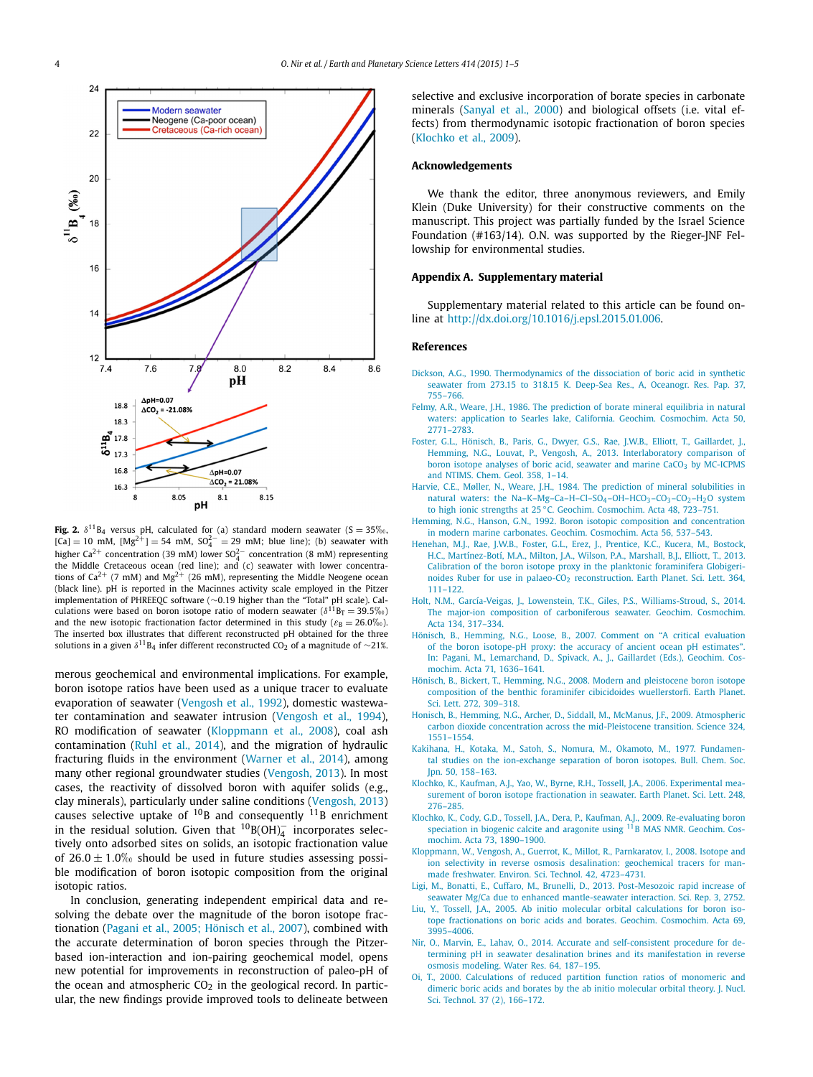<span id="page-3-0"></span>

**Fig. 2.**  $\delta^{11}B_4$  versus pH, calculated for (a) standard modern seawater (S = 35 $\%$ <sub>0</sub>,  $[Ca] = 10$  mM,  $[Mg^{2+}] = 54$  mM,  $SO_4^{2-} = 29$  mM; blue line); (b) seawater with higher Ca<sup>2+</sup> concentration (39 mM) lower SO<sup>2−</sup> concentration (8 mM) representing the Middle Cretaceous ocean (red line); and (c) seawater with lower concentrations of  $Ca^{2+}$  (7 mM) and Mg<sup>2+</sup> (26 mM), representing the Middle Neogene ocean (black line). pH is reported in the Macinnes activity scale employed in the Pitzer implementation of PHREEQC software (∼0*.*19 higher than the "Total" pH scale). Calculations were based on boron isotope ratio of modern seawater ( $\delta^{11}B_T = 39.5\%$ ) and the new isotopic fractionation factor determined in this study ( $\varepsilon_B = 26.0\%$ ). The inserted box illustrates that different reconstructed pH obtained for the three solutions in a given  $\delta$ <sup>11</sup>B<sub>4</sub> infer different reconstructed CO<sub>2</sub> of a magnitude of ∼21%.

merous geochemical and environmental implications. For example, boron isotope ratios have been used as a unique tracer to evaluate evaporation of seawater [\(Vengosh](#page-4-0) et al., 1992), domestic wastewater contamination and seawater intrusion [\(Vengosh](#page-4-0) et al., 1994), RO modification of seawater (Kloppmann et al., 2008), coal ash contamination (Ruhl et al., [2014\)](#page-4-0), and the migration of hydraulic fracturing fluids in the environment [\(Warner](#page-4-0) et al., 2014), among many other regional groundwater studies [\(Vengosh,](#page-4-0) 2013). In most cases, the reactivity of dissolved boron with aquifer solids (e.g., clay minerals), particularly under saline conditions [\(Vengosh,](#page-4-0) 2013) causes selective uptake of  $^{10}$ B and consequently  $^{11}$ B enrichment in the residual solution. Given that  $^{10}B(OH)_4^-$  incorporates selectively onto adsorbed sites on solids, an isotopic fractionation value of  $26.0 \pm 1.0\%$  should be used in future studies assessing possible modification of boron isotopic composition from the original isotopic ratios.

In conclusion, generating independent empirical data and resolving the debate over the magnitude of the boron isotope fractionation (Pagani et al., [2005; Hönisch](#page-4-0) et al., 2007), combined with the accurate determination of boron species through the Pitzerbased ion-interaction and ion-pairing geochemical model, opens new potential for improvements in reconstruction of paleo-pH of the ocean and atmospheric  $CO<sub>2</sub>$  in the geological record. In particular, the new findings provide improved tools to delineate between selective and exclusive incorporation of borate species in carbonate minerals [\(Sanyal](#page-4-0) et al., 2000) and biological offsets (i.e. vital effects) from thermodynamic isotopic fractionation of boron species (Klochko et al., 2009).

#### **Acknowledgements**

We thank the editor, three anonymous reviewers, and Emily Klein (Duke University) for their constructive comments on the manuscript. This project was partially funded by the Israel Science Foundation (#163/14). O.N. was supported by the Rieger-JNF Fellowship for environmental studies.

#### **Appendix A. Supplementary material**

Supplementary material related to this article can be found online at <http://dx.doi.org/10.1016/j.epsl.2015.01.006>.

#### **References**

- Dickson, A.G., 1990. [Thermodynamics](http://refhub.elsevier.com/S0012-821X(15)00019-9/bib44696331393930s1) of the dissociation of boric acid in synthetic seawater from 273.15 to 318.15 K. Deep-Sea Res., A, [Oceanogr.](http://refhub.elsevier.com/S0012-821X(15)00019-9/bib44696331393930s1) Res. Pap. 37, [755–766.](http://refhub.elsevier.com/S0012-821X(15)00019-9/bib44696331393930s1)
- Felmy, A.R., Weare, J.H., 1986. The [prediction](http://refhub.elsevier.com/S0012-821X(15)00019-9/bib46656C57656131393836s1) of borate mineral equilibria in natural waters: application to Searles lake, California. Geochim. [Cosmochim.](http://refhub.elsevier.com/S0012-821X(15)00019-9/bib46656C57656131393836s1) Acta 50, [2771–2783.](http://refhub.elsevier.com/S0012-821X(15)00019-9/bib46656C57656131393836s1)
- Foster, G.L., Hönisch, B., Paris, G., Dwyer, G.S., Rae, J.W.B., Elliott, T., [Gaillardet,](http://refhub.elsevier.com/S0012-821X(15)00019-9/bib466F736574616C32303133s1) J., Hemming, N.G., Louvat, P., Vengosh, A., 2013. [Interlaboratory](http://refhub.elsevier.com/S0012-821X(15)00019-9/bib466F736574616C32303133s1) comparison of boron isotope analyses of boric acid, seawater and marine CaCO<sub>3</sub> by [MC-ICPMS](http://refhub.elsevier.com/S0012-821X(15)00019-9/bib466F736574616C32303133s1) and NTIMS. Chem. [Geol. 358,](http://refhub.elsevier.com/S0012-821X(15)00019-9/bib466F736574616C32303133s1) 1–14.
- Harvie, C.E., Møller, N., Weare, J.H., 1984. The prediction of mineral [solubilities](http://refhub.elsevier.com/S0012-821X(15)00019-9/bib4861726574616C31393834s1) in natural waters: the Na-K-Mg-Ca-H-Cl-SO<sub>4</sub>-OH-HCO<sub>3</sub>-CO<sub>3</sub>-CO<sub>2</sub>-H<sub>2</sub>O system to high ionic strengths at 25 °C. Geochim. [Cosmochim.](http://refhub.elsevier.com/S0012-821X(15)00019-9/bib4861726574616C31393834s1) Acta 48, 723-751.
- Hemming, N.G., Hanson, G.N., 1992. Boron isotopic composition and [concentration](http://refhub.elsevier.com/S0012-821X(15)00019-9/bib48656D48616E31393932s1) in modern marine carbonates. Geochim. [Cosmochim.](http://refhub.elsevier.com/S0012-821X(15)00019-9/bib48656D48616E31393932s1) Acta 56, 537–543.
- [Henehan,](http://refhub.elsevier.com/S0012-821X(15)00019-9/bib48656E6574616C32303133s1) M.J., Rae, J.W.B., Foster, G.L., Erez, J., Prentice, K.C., Kucera, M., Bostock, H.C., [Martínez-Botí,](http://refhub.elsevier.com/S0012-821X(15)00019-9/bib48656E6574616C32303133s1) M.A., Milton, J.A., Wilson, P.A., Marshall, B.J., Elliott, T., 2013. Calibration of the boron isotope proxy in the planktonic [foraminifera](http://refhub.elsevier.com/S0012-821X(15)00019-9/bib48656E6574616C32303133s1) Globigerinoides Ruber for use in palaeo-CO<sub>2</sub> [reconstruction.](http://refhub.elsevier.com/S0012-821X(15)00019-9/bib48656E6574616C32303133s1) Earth Planet. Sci. Lett. 364, [111–122.](http://refhub.elsevier.com/S0012-821X(15)00019-9/bib48656E6574616C32303133s1)
- Holt, N.M., García-Veigas, J., Lowenstein, T.K., Giles, P.S., [Williams-Stroud,](http://refhub.elsevier.com/S0012-821X(15)00019-9/bib486F6C6574616C32303134s1) S., 2014. The major-ion composition of [carboniferous](http://refhub.elsevier.com/S0012-821X(15)00019-9/bib486F6C6574616C32303134s1) seawater. Geochim. Cosmochim. [Acta 134,](http://refhub.elsevier.com/S0012-821X(15)00019-9/bib486F6C6574616C32303134s1) 317–334.
- Hönisch, B., Hemming, N.G., Loose, B., 2007. Comment on "A critical [evaluation](http://refhub.elsevier.com/S0012-821X(15)00019-9/bib486F6E6574616C32303037s1) of the boron [isotope-pH](http://refhub.elsevier.com/S0012-821X(15)00019-9/bib486F6E6574616C32303037s1) proxy: the accuracy of ancient ocean pH estimates". In: Pagani, M., [Lemarchand,](http://refhub.elsevier.com/S0012-821X(15)00019-9/bib486F6E6574616C32303037s1) D., Spivack, A., J., Gaillardet (Eds.), Geochim. Cosmochim. Acta 71, [1636–1641.](http://refhub.elsevier.com/S0012-821X(15)00019-9/bib486F6E6574616C32303037s1)
- Hönisch, B., Bickert, T., Hemming, N.G., 2008. Modern and [pleistocene](http://refhub.elsevier.com/S0012-821X(15)00019-9/bib486F6E6574616C32303038s1) boron isotope composition of the benthic foraminifer cibicidoides [wuellerstorfi.](http://refhub.elsevier.com/S0012-821X(15)00019-9/bib486F6E6574616C32303038s1) Earth Planet. Sci. [Lett. 272,](http://refhub.elsevier.com/S0012-821X(15)00019-9/bib486F6E6574616C32303038s1) 309–318.
- Honisch, B., Hemming, N.G., Archer, D., Siddall, M., McManus, J.F., 2009. [Atmospheric](http://refhub.elsevier.com/S0012-821X(15)00019-9/bib486F6E6574616C32303039s1) carbon dioxide concentration across the [mid-Pleistocene](http://refhub.elsevier.com/S0012-821X(15)00019-9/bib486F6E6574616C32303039s1) transition. Science 324, [1551–1554.](http://refhub.elsevier.com/S0012-821X(15)00019-9/bib486F6E6574616C32303039s1)
- Kakihana, H., Kotaka, M., Satoh, S., Nomura, M., Okamoto, M., 1977. [Fundamen](http://refhub.elsevier.com/S0012-821X(15)00019-9/bib4B616B6574616C31393737s1)tal studies on the [ion-exchange](http://refhub.elsevier.com/S0012-821X(15)00019-9/bib4B616B6574616C31393737s1) separation of boron isotopes. Bull. Chem. Soc. Jpn. 50, [158–163.](http://refhub.elsevier.com/S0012-821X(15)00019-9/bib4B616B6574616C31393737s1)
- Klochko, K., Kaufman, A.J., Yao, W., Byrne, R.H., Tossell, J.A., 2006. [Experimental](http://refhub.elsevier.com/S0012-821X(15)00019-9/bib4B6C6F6574616C32303036s1) measurement of boron isotope [fractionation](http://refhub.elsevier.com/S0012-821X(15)00019-9/bib4B6C6F6574616C32303036s1) in seawater. Earth Planet. Sci. Lett. 248, [276–285.](http://refhub.elsevier.com/S0012-821X(15)00019-9/bib4B6C6F6574616C32303036s1)
- Klochko, K., Cody, G.D., Tossell, J.A., Dera, P., Kaufman, A.J., 2009. [Re-evaluating](http://refhub.elsevier.com/S0012-821X(15)00019-9/bib4B6C6F6574616C32303039s1) boron speciation in biogenic calcite and aragonite using <sup>11</sup>B MAS NMR. Geochim. Cosmochim. Acta 73, [1890–1900.](http://refhub.elsevier.com/S0012-821X(15)00019-9/bib4B6C6F6574616C32303039s1)
- Kloppmann, W., Vengosh, A., Guerrot, K., Millot, R., [Parnkaratov,](http://refhub.elsevier.com/S0012-821X(15)00019-9/bib4B6C6F6574616C32303038s1) I., 2008. Isotope and ion selectivity in reverse osmosis [desalination:](http://refhub.elsevier.com/S0012-821X(15)00019-9/bib4B6C6F6574616C32303038s1) geochemical tracers for manmade freshwater. Environ. Sci. [Technol. 42,](http://refhub.elsevier.com/S0012-821X(15)00019-9/bib4B6C6F6574616C32303038s1) 4723–4731.
- Ligi, M., Bonatti, E., Cuffaro, M., Brunelli, D., 2013. [Post-Mesozoic](http://refhub.elsevier.com/S0012-821X(15)00019-9/bib4C69676574616C32303133s1) rapid increase of seawater Mg/Ca due to enhanced [mantle-seawater](http://refhub.elsevier.com/S0012-821X(15)00019-9/bib4C69676574616C32303133s1) interaction. Sci. Rep. 3, 2752.
- Liu, Y., Tossell, J.A., 2005. Ab initio molecular orbital [calculations](http://refhub.elsevier.com/S0012-821X(15)00019-9/bib4C6975546F7332303035s1) for boron isotope [fractionations](http://refhub.elsevier.com/S0012-821X(15)00019-9/bib4C6975546F7332303035s1) on boric acids and borates. Geochim. Cosmochim. Acta 69, [3995–4006.](http://refhub.elsevier.com/S0012-821X(15)00019-9/bib4C6975546F7332303035s1)
- Nir, O., Marvin, E., Lahav, O., 2014. Accurate and [self-consistent](http://refhub.elsevier.com/S0012-821X(15)00019-9/bib4E69726574616C32303134s1) procedure for determining pH in seawater desalination brines and its [manifestation](http://refhub.elsevier.com/S0012-821X(15)00019-9/bib4E69726574616C32303134s1) in reverse osmosis [modeling.](http://refhub.elsevier.com/S0012-821X(15)00019-9/bib4E69726574616C32303134s1) Water Res. 64, 187–195.
- Oi, T., 2000. [Calculations](http://refhub.elsevier.com/S0012-821X(15)00019-9/bib4F6932303030s1) of reduced partition function ratios of monomeric and dimeric boric acids and borates by the ab initio [molecular](http://refhub.elsevier.com/S0012-821X(15)00019-9/bib4F6932303030s1) orbital theory. J. Nucl. Sci. [Technol. 37](http://refhub.elsevier.com/S0012-821X(15)00019-9/bib4F6932303030s1) (2), 166–172.